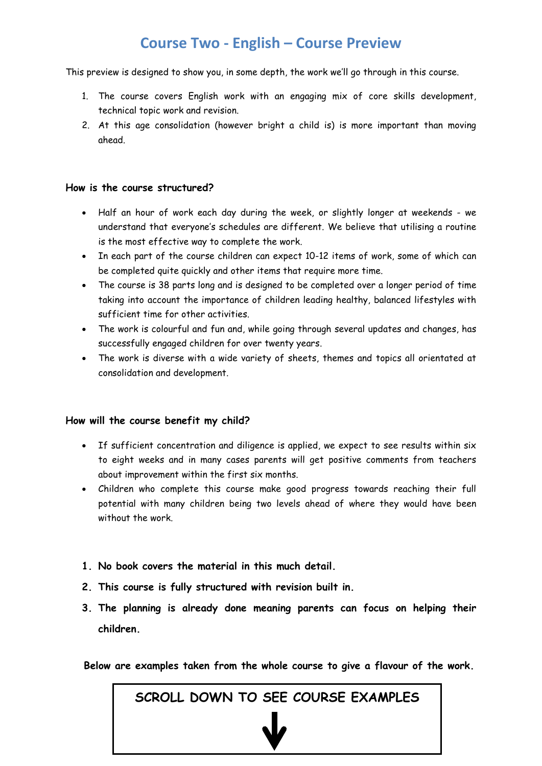## **Course Two - English – Course Preview**

This preview is designed to show you, in some depth, the work we'll go through in this course.

- 1. The course covers English work with an engaging mix of core skills development, technical topic work and revision.
- 2. At this age consolidation (however bright a child is) is more important than moving ahead.

### **How is the course structured?**

- Half an hour of work each day during the week, or slightly longer at weekends we understand that everyone's schedules are different. We believe that utilising a routine is the most effective way to complete the work.
- In each part of the course children can expect 10-12 items of work, some of which can be completed quite quickly and other items that require more time.
- The course is 38 parts long and is designed to be completed over a longer period of time taking into account the importance of children leading healthy, balanced lifestyles with sufficient time for other activities.
- The work is colourful and fun and, while going through several updates and changes, has successfully engaged children for over twenty years.
- The work is diverse with a wide variety of sheets, themes and topics all orientated at consolidation and development.

### **How will the course benefit my child?**

- If sufficient concentration and diligence is applied, we expect to see results within six to eight weeks and in many cases parents will get positive comments from teachers about improvement within the first six months.
- Children who complete this course make good progress towards reaching their full potential with many children being two levels ahead of where they would have been without the work.
- **1. No book covers the material in this much detail.**
- **2. This course is fully structured with revision built in.**
- **3. The planning is already done meaning parents can focus on helping their children.**

**Below are examples taken from the whole course to give a flavour of the work.**

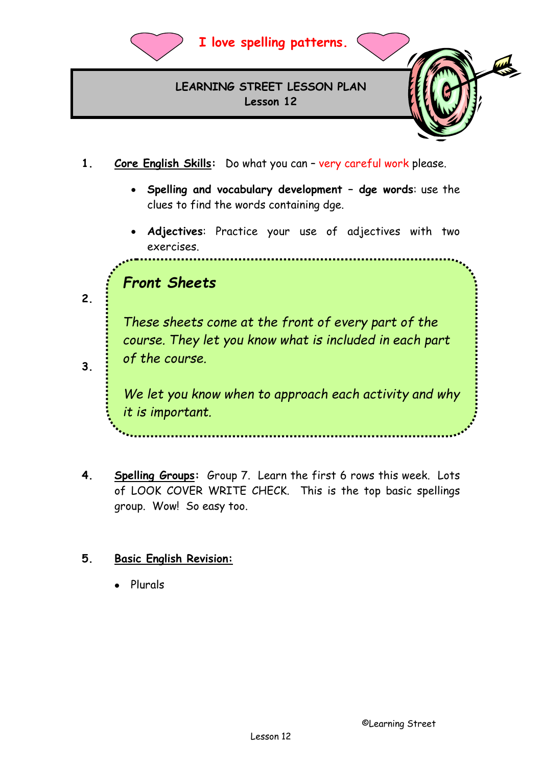

## **I love spelling patterns.**

**LEARNING STREET LESSON PLAN Lesson 12**

- 
- **1. Core English Skills:** Do what you can very careful work please.
	- **Spelling and vocabulary development dge words**: use the clues to find the words containing dge.
	- **Adjectives**: Practice your use of adjectives with two exercises.

## *Front Sheets*

Then use the three exercises for revision. **3. Best Handwriting:**  electron  $\mathbf{R}$  and  $\mathbf{R}$  will help both will help both will help both will help both *These sheets come at the front of every part of the course. They let you know what is included in each part of the course.* 

**2. Spelling Patterns:** Learn the th words and test yourself on them.

• Make sure you copy the writing pattern exactly as it is on the *it is important.We let you know when to approach each activity and why* 

**4. Spelling Groups:** Group 7. Learn the first 6 rows this week. Lots of LOOK COVER WRITE CHECK. This is the top basic spellings group. Wow! So easy too.

### **5. Basic English Revision:**

• Plurals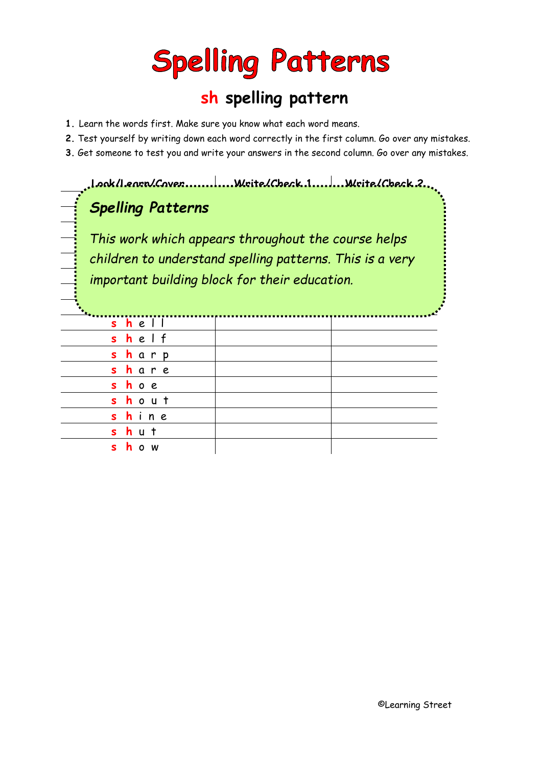# **Spelling Patterns**

## **sh spelling pattern**

- **1.** Learn the words first. Make sure you know what each word means.
- **2.** Test yourself by writing down each word correctly in the first column. Go over any mistakes.
- **3.** Get someone to test you and write your answers in the second column. Go over any mistakes.

**Look/Learn/Cover Write/Check 1 Write/Check 2**

## **Spelling Patterns** <del>.</del><br>Spelling Patterns

 w a **s h** f l u **s h** i childrei *i* important bui *This work which appears throughout the course helps children to understand spelling patterns. This is a very important building block for their education.*

| shel  |  |
|-------|--|
| shelf |  |
| sharp |  |
| share |  |
| shoe  |  |
| shout |  |
| shine |  |
| shut  |  |
| show  |  |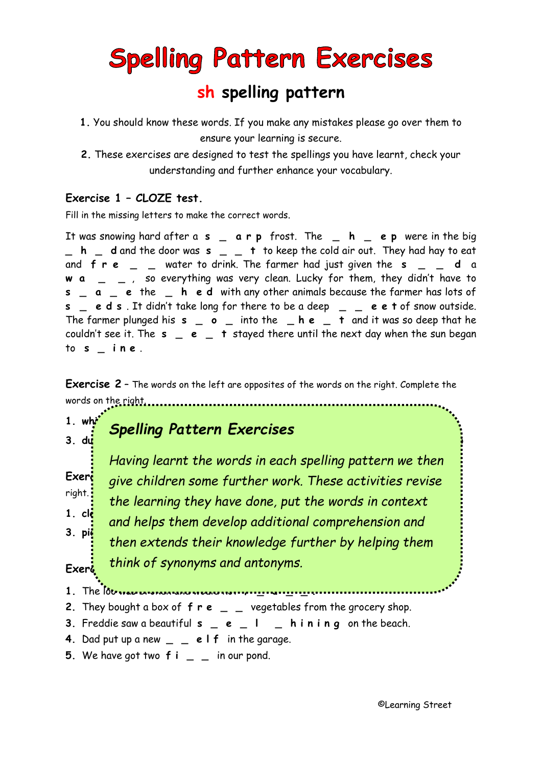## **Spelling Pattern Exercises**

## **sh spelling pattern**

- **1.** You should know these words. If you make any mistakes please go over them to ensure your learning is secure.
- **2.** These exercises are designed to test the spellings you have learnt, check your understanding and further enhance your vocabulary.

### **Exercise 1 – CLOZE test.**

Fill in the missing letters to make the correct words.

It was snowing hard after a **s \_ a r p** frost. The **\_ h \_ e p** were in the big **\_ h \_ d** and the door was **s \_ \_ t** to keep the cold air out. They had hay to eat and **f r e \_ \_** water to drink. The farmer had just given the **s \_ \_ d** a **w a \_ \_** , so everything was very clean. Lucky for them, they didn't have to **s \_ a \_ e** the **\_ h e d** with any other animals because the farmer has lots of **s \_ e d s** . It didn't take long for there to be a deep **\_ \_ e e t** of snow outside. The farmer plunged his **s \_ o \_** into the **\_ h e \_ t** and it was so deep that he couldn't see it. The  $s = e \,$  + stayed there until the next day when the sun began to **s \_ i n e** .

**Exercise 2** – The words on the left are opposites of the words on the right. Complete the words on the right.

#### **1.**  $w h^*$  and  $w$  is  $\theta$  is  $\theta$  is  $\theta$  is  $\theta$  is  $\theta$  is  $\theta$  is  $\theta$  is  $\theta$  is  $\theta$  is  $\theta$  is  $\theta$  is  $\theta$  is  $\theta$  is  $\theta$  is  $\theta$  is  $\theta$  is  $\theta$  is  $\theta$  is  $\theta$  is  $\theta$  is  $\theta$  is  $\theta$  is  $\theta$  is  $\theta$  is  $\theta$  i **3. dull \_ h i n \_ 4. blunt \_ \_ a r p** *Spelling Pattern Exercises*

Exerc<sub>iopi</sub>ve children some further work. These activities revise right.<sup>3</sup> the learning they have done, put the words in context 1.  $\mathsf{cl}$  **cleance a** and helps them develop additional comprehension and **3. piece s \_ a r \_ 4. present \_ \_ o w Exercise 4 – CLOZE sentences.** Fill in the missing letters to complete each sentence. *think of synonyms and antonyms.Having learnt the words in each spelling pattern we then then extends their knowledge further by helping them* 

- **1.** The look was become and would not **for the flood flood in the formation**
- **2.** They bought a box of  $f \rvert \rvert e \rvert = 1$  vegetables from the grocery shop.
- **3.** Freddie saw a beautiful **s \_ e \_ l \_ h i n i n g** on the beach.
- **4.** Dad put up a new **\_ \_ e l f** in the garage.
- **5.** We have got two **f i \_ \_** in our pond.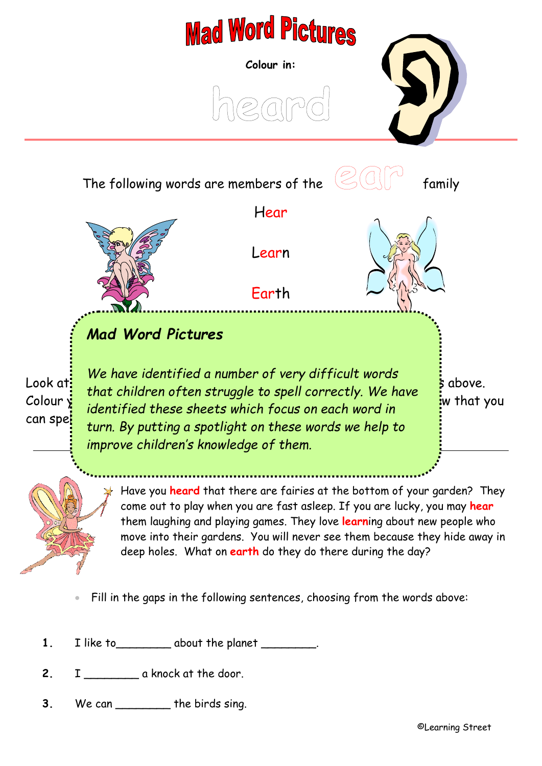

**2.** I \_\_\_\_\_\_\_\_ a knock at the door.

**3.** We can \_\_\_\_\_\_\_\_ the birds sing.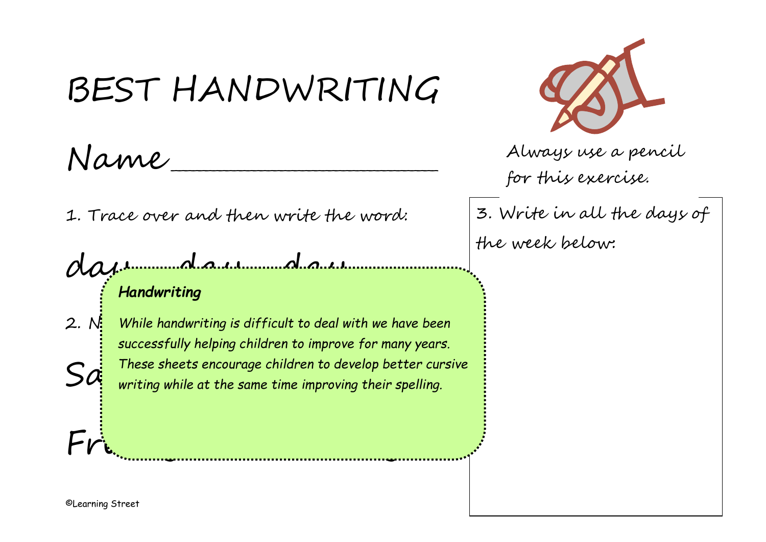# BEST HANDWRITING

Name \_\_\_\_\_\_\_\_\_\_\_\_\_\_\_\_\_\_\_\_\_\_\_\_\_\_\_\_\_\_\_\_\_\_\_\_\_\_\_

1. Trace over and then write the word:

Friday Wednesday Wednesday Wednesday Prince Communication

day munday and mund ay incommunity *Handwriting*

2. N<mark>:</mark> While handwriting is difficult to deal with we have been  $S{\mathcal{A}}$  inese sheets encourage children to develop better cur.<br> $S{\mathcal{A}}$  writing while at the same time improving their spelling. *successfully helping children to improve for many years. These sheets encourage children to develop better cursive* 



Always use a pencil for this exercise.

3. Write in all the days of the week below: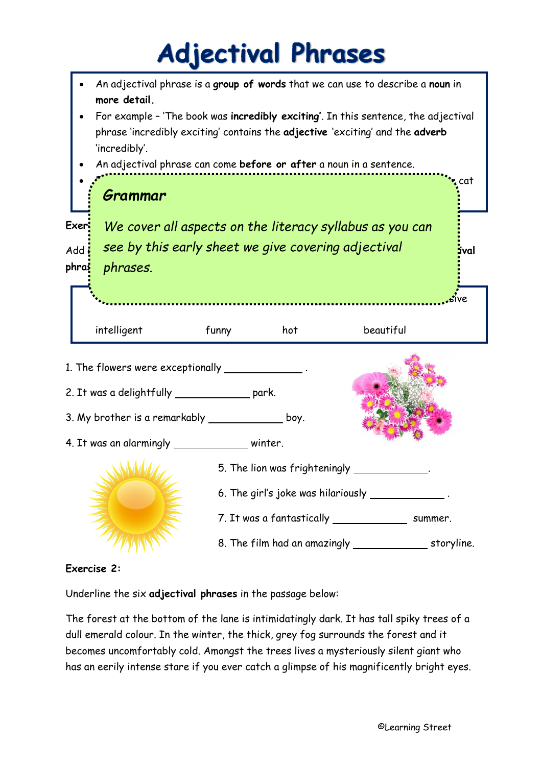## **Adjectival Phrases**



### **Exercise 2:**

Underline the six **adjectival phrases** in the passage below:

The forest at the bottom of the lane is intimidatingly dark. It has tall spiky trees of a dull emerald colour. In the winter, the thick, grey fog surrounds the forest and it becomes uncomfortably cold. Amongst the trees lives a mysteriously silent giant who has an eerily intense stare if you ever catch a glimpse of his magnificently bright eyes.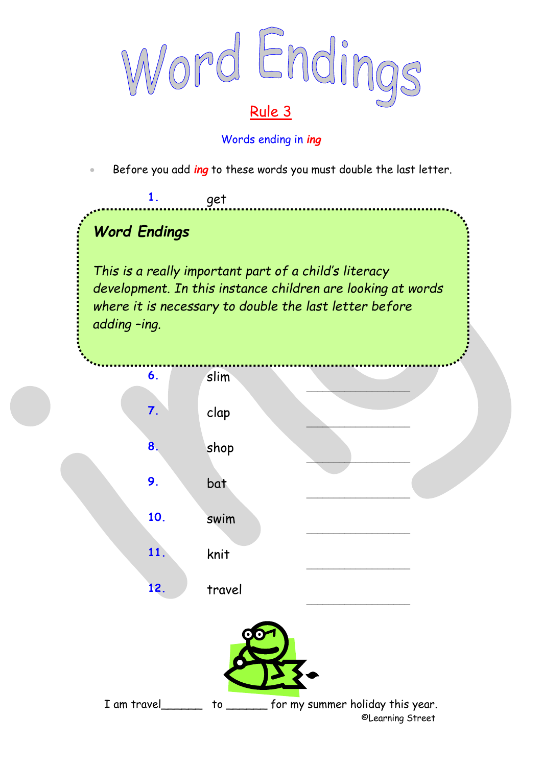

### Words ending in *ing*

• Before you add *ing* to these words you must double the last letter.

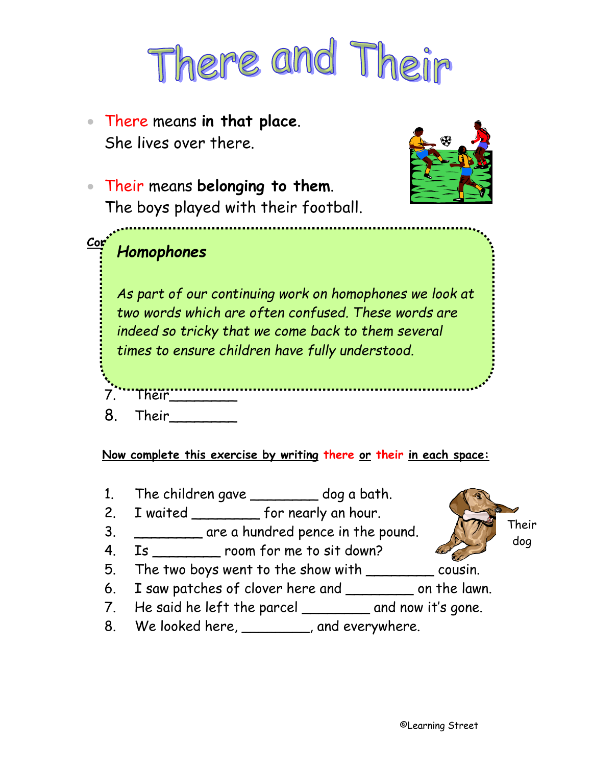

• There means **in that place**. She lives over there.



• Their means **belonging to them**. The boys played with their football.

### **Complete this list:** *Homophones*

1. Their car 2. Their cat *As part of our continuing work on homophones we look at* 3. Their house *two words which are often confused. These words are* 4. Their\_\_\_\_\_\_\_\_ Notice that **their** is *indeed so tricky that we come back to them several*  cines to ensure crin times to ensure children have fully understood.

- 6. Their\_\_\_\_\_\_\_\_ 7. Their
- 8. Their\_\_\_\_\_\_\_\_

**Now complete this exercise by writing there or their in each space:**

- 1. The children gave \_\_\_\_\_\_\_\_ dog a bath.
- 2. I waited \_\_\_\_\_\_\_\_ for nearly an hour.
- 3. \_\_\_\_\_\_\_\_\_ are a hundred pence in the pound.
- 4. Is \_\_\_\_\_\_\_\_ room for me to sit down?
- 5. The two boys went to the show with \_\_\_\_\_\_\_\_ cousin.
- 6. I saw patches of clover here and \_\_\_\_\_\_\_\_ on the lawn.
- 7. He said he left the parcel \_\_\_\_\_\_\_\_ and now it's gone.
- 8. We looked here, \_\_\_\_\_\_\_\_, and everywhere.

Their dog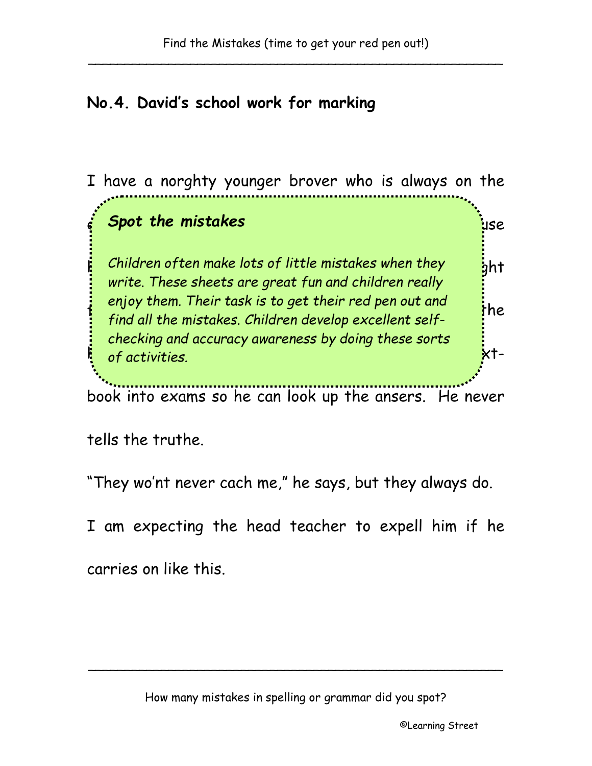## **No.4. David's school work for marking**

I have a norghty younger brover who is always on the edje of truble. He just larghs when I warn him because *Spot the mistakes*  $\mathbf{f}_i$  Children often make lots of little mistakes when they  $\mathbf{f}_j$ ht  $\frac{1}{2}$  find all the mistakes Children develop excellent self hole scool was nocked out. He takes his spelling text-*of activities.*book into exams so he can look up the ansers. He never *write. These sheets are great fun and children really enjoy them. Their task is to get their red pen out and find all the mistakes. Children develop excellent selfchecking and accuracy awareness by doing these sorts* 

tells the truthe.

"They wo'nt never cach me," he says, but they always do.

I am expecting the head teacher to expell him if he

carries on like this.

\_\_\_\_\_\_\_\_\_\_\_\_\_\_\_\_\_\_\_\_\_\_\_\_\_\_\_\_\_\_\_\_\_\_\_\_\_\_\_\_\_\_\_\_\_\_\_\_\_\_\_\_\_\_\_\_\_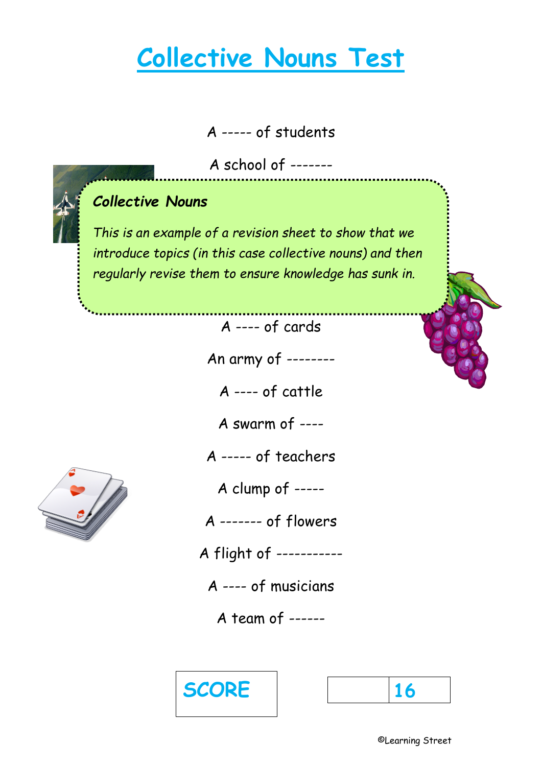## **Collective Nouns Test**

A ----- of students

A school of -------



This is an example of a revision sheet to show that we A ----- of grapes *introduce topics (in this case collective nouns) and then regularly revise them to ensure knowledge has sunk in.*

A ---- of cards

An army of --------

A ---- of cattle

A swarm of ----

A ----- of teachers

A clump of -----

A ------- of flowers

A flight of -----------

A ---- of musicians

A team of ------